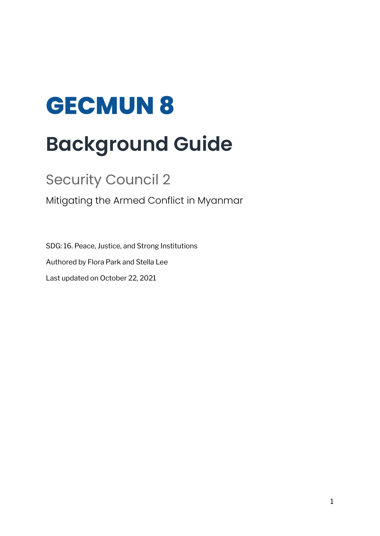# **GECMUN 8 Background Guide**

# Security Council 2

Mitigating the Armed Conflict in Myanmar

SDG: 16. Peace, Justice, and Strong Institutions Authored by Flora Park and Stella Lee Last updated on October 22, 2021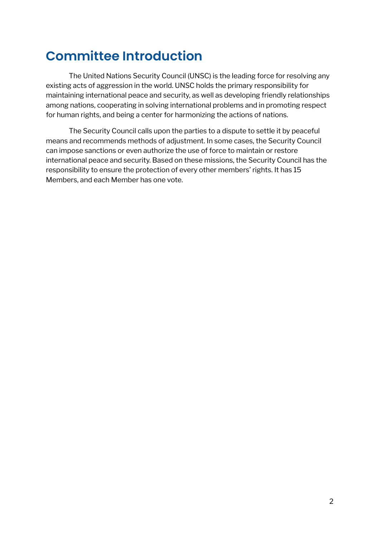# **Committee Introduction**

The United Nations Security Council (UNSC) is the leading force for resolving any existing acts of aggression in the world. UNSC holds the primary responsibility for maintaining international peace and security, as well as developing friendly relationships among nations, cooperating in solving international problems and in promoting respect for human rights, and being a center for harmonizing the actions of nations.

The Security Council calls upon the parties to a dispute to settle it by peaceful means and recommends methods of adjustment. In some cases, the Security Council can impose sanctions or even authorize the use of force to maintain or restore international peace and security. Based on these missions, the Security Council has the responsibility to ensure the protection of every other members' rights. It has 15 Members, and each Member has one vote.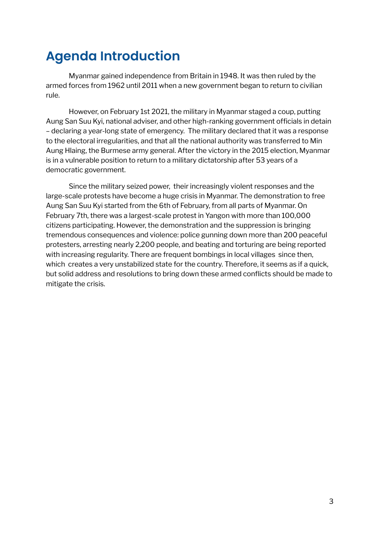# **Agenda Introduction**

Myanmar gained independence from Britain in 1948. It was then ruled by the armed forces from 1962 until 2011 when a new government began to return to civilian rule.

However, on February 1st 2021, the military in Myanmar staged a coup, putting Aung San Suu Kyi, national adviser, and other high-ranking government officials in detain – declaring a year-long state of emergency. The military declared that it was a response to the electoral irregularities, and that all the national authority was transferred to Min Aung Hlaing, the Burmese army general. After the victory in the 2015 election, Myanmar is in a vulnerable position to return to a military dictatorship after 53 years of a democratic government.

Since the military seized power, their increasingly violent responses and the large-scale protests have become a huge crisis in Myanmar. The demonstration to free Aung San Suu Kyi started from the 6th of February, from all parts of Myanmar. On February 7th, there was a largest-scale protest in Yangon with more than 100,000 citizens participating. However, the demonstration and the suppression is bringing tremendous consequences and violence: police gunning down more than 200 peaceful protesters, arresting nearly 2,200 people, and beating and torturing are being reported with increasing regularity. There are frequent bombings in local villages since then, which creates a very unstabilized state for the country. Therefore, it seems as if a quick, but solid address and resolutions to bring down these armed conflicts should be made to mitigate the crisis.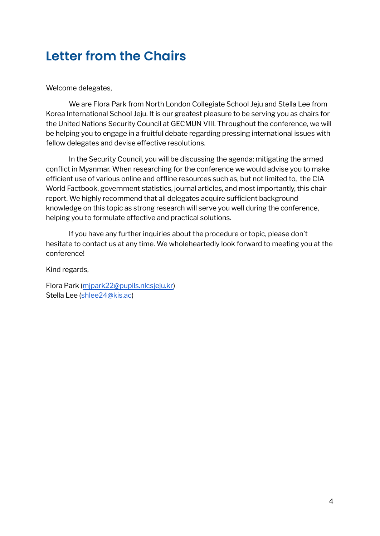# **Letter from the Chairs**

### Welcome delegates,

We are Flora Park from North London Collegiate School Jeju and Stella Lee from Korea International School Jeju. It is our greatest pleasure to be serving you as chairs for the United Nations Security Council at GECMUN VIII. Throughout the conference, we will be helping you to engage in a fruitful debate regarding pressing international issues with fellow delegates and devise effective resolutions.

In the Security Council, you will be discussing the agenda: mitigating the armed conflict in Myanmar. When researching for the conference we would advise you to make efficient use of various online and offline resources such as, but not limited to, the CIA World Factbook, government statistics, journal articles, and most importantly, this chair report. We highly recommend that all delegates acquire sufficient background knowledge on this topic as strong research will serve you well during the conference, helping you to formulate effective and practical solutions.

If you have any further inquiries about the procedure or topic, please don't hesitate to contact us at any time. We wholeheartedly look forward to meeting you at the conference!

Kind regards,

Flora Park ([mjpark22@pupils.nlcsjeju.kr\)](mailto:mjpark22@pupils.nlcsjeju.kr) Stella Lee [\(shlee24@kis.ac\)](mailto:shlee24@kis.ac)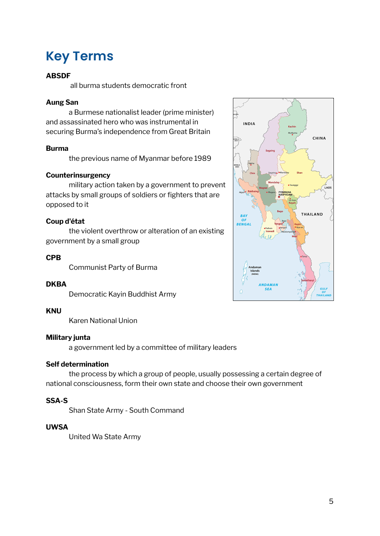# **Key Terms**

### **ABSDF**

all burma students democratic front

### **Aung San**

a Burmese nationalist leader (prime minister) and assassinated hero who was instrumental in securing Burma's independence from Great Britain

### **Burma**

the previous name of Myanmar before 1989

### **Counterinsurgency**

military action taken by a government to prevent attacks by small groups of soldiers or fighters that are opposed to it

### **Coup d'état**

the violent overthrow or alteration of an existing government by a small group

### **CPB**

Communist Party of Burma

### **DKBA**

Democratic Kayin Buddhist Army

### **KNU**

Karen National Union

### **Military junta**

a government led by a committee of military leaders

### **Self determination**

the process by which a group of people, usually possessing a certain degree of national consciousness, form their own state and choose their own government

### **SSA-S**

Shan State Army - South Command

### **UWSA**

United Wa State Army

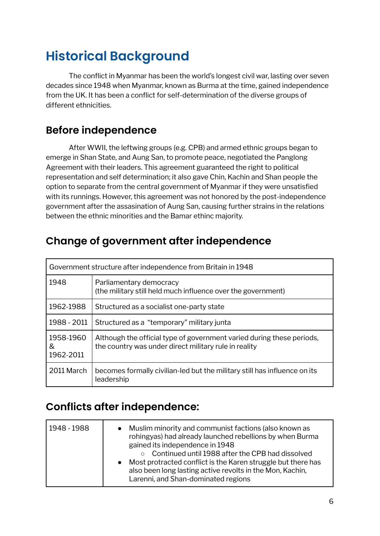# **Historical Background**

The conflict in Myanmar has been the world's longest civil war, lasting over seven decades since 1948 when Myanmar, known as Burma at the time, gained independence from the UK. It has been a conflict for self-determination of the diverse groups of different ethnicities.

### **Before independence**

After WWII, the leftwing groups (e.g. CPB) and armed ethnic groups began to emerge in Shan State, and Aung San, to promote peace, negotiated the Panglong Agreement with their leaders. This agreement guaranteed the right to political representation and self determination; it also gave Chin, Kachin and Shan people the option to separate from the central government of Myanmar if they were unsatisfied with its runnings. However, this agreement was not honored by the post-independence government after the assasination of Aung San, causing further strains in the relations between the ethnic minorities and the Bamar ethinc majority.

### **Change of government after independence**

| Government structure after independence from Britain in 1948 |                                                                                                                                |  |
|--------------------------------------------------------------|--------------------------------------------------------------------------------------------------------------------------------|--|
| 1948                                                         | Parliamentary democracy<br>(the military still held much influence over the government)                                        |  |
| 1962-1988                                                    | Structured as a socialist one-party state                                                                                      |  |
| 1988 - 2011                                                  | Structured as a "temporary" military junta                                                                                     |  |
| 1958-1960<br>&<br>1962-2011                                  | Although the official type of government varied during these periods,<br>the country was under direct military rule in reality |  |
| 2011 March                                                   | becomes formally civilian-led but the military still has influence on its<br>leadership                                        |  |

### **Conflicts after independence:**

| 1948 - 1988 | • Muslim minority and communist factions (also known as<br>rohingyas) had already launched rebellions by when Burma<br>gained its independence in 1948<br>○ Continued until 1988 after the CPB had dissolved<br>• Most protracted conflict is the Karen struggle but there has<br>also been long lasting active revolts in the Mon, Kachin,<br>Larenni, and Shan-dominated regions |
|-------------|------------------------------------------------------------------------------------------------------------------------------------------------------------------------------------------------------------------------------------------------------------------------------------------------------------------------------------------------------------------------------------|
|-------------|------------------------------------------------------------------------------------------------------------------------------------------------------------------------------------------------------------------------------------------------------------------------------------------------------------------------------------------------------------------------------------|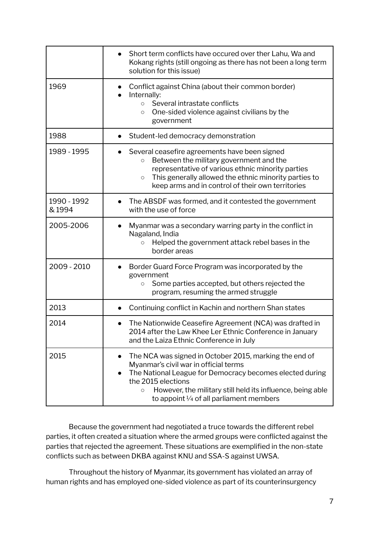|                      | Short term conflicts have occured over ther Lahu, Wa and<br>Kokang rights (still ongoing as there has not been a long term<br>solution for this issue)                                                                                                                                                                        |
|----------------------|-------------------------------------------------------------------------------------------------------------------------------------------------------------------------------------------------------------------------------------------------------------------------------------------------------------------------------|
| 1969                 | Conflict against China (about their common border)<br>Internally:<br>Several intrastate conflicts<br>$\circ$<br>One-sided violence against civilians by the<br>$\circ$<br>government                                                                                                                                          |
| 1988                 | Student-led democracy demonstration                                                                                                                                                                                                                                                                                           |
| 1989 - 1995          | Several ceasefire agreements have been signed<br>Between the military government and the<br>$\circ$<br>representative of various ethnic minority parties<br>This generally allowed the ethnic minority parties to<br>$\circ$<br>keep arms and in control of their own territories                                             |
| 1990 - 1992<br>&1994 | The ABSDF was formed, and it contested the government<br>with the use of force                                                                                                                                                                                                                                                |
| 2005-2006            | Myanmar was a secondary warring party in the conflict in<br>Nagaland, India<br>Helped the government attack rebel bases in the<br>$\circ$<br>border areas                                                                                                                                                                     |
| 2009 - 2010          | Border Guard Force Program was incorporated by the<br>government<br>Some parties accepted, but others rejected the<br>$\circ$<br>program, resuming the armed struggle                                                                                                                                                         |
| 2013                 | Continuing conflict in Kachin and northern Shan states                                                                                                                                                                                                                                                                        |
| 2014                 | The Nationwide Ceasefire Agreement (NCA) was drafted in<br>2014 after the Law Khee Ler Ethnic Conference in January<br>and the Laiza Ethnic Conference in July                                                                                                                                                                |
| 2015                 | The NCA was signed in October 2015, marking the end of<br>$\bullet$<br>Myanmar's civil war in official terms<br>The National League for Democracy becomes elected during<br>the 2015 elections<br>However, the military still held its influence, being able<br>$\circ$<br>to appoint $\frac{1}{4}$ of all parliament members |

Because the government had negotiated a truce towards the different rebel parties, it often created a situation where the armed groups were conflicted against the parties that rejected the agreement. These situations are exemplified in the non-state conflicts such as between DKBA against KNU and SSA-S against UWSA.

Throughout the history of Myanmar, its government has violated an array of human rights and has employed one-sided violence as part of its counterinsurgency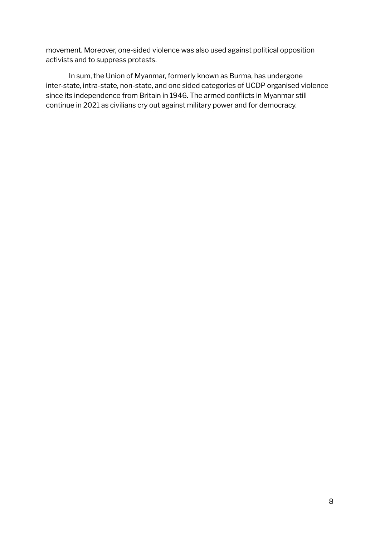movement. Moreover, one-sided violence was also used against political opposition activists and to suppress protests.

In sum, the Union of Myanmar, formerly known as Burma, has undergone inter-state, intra-state, non-state, and one sided categories of UCDP organised violence since its independence from Britain in 1946. The armed conflicts in Myanmar still continue in 2021 as civilians cry out against military power and for democracy.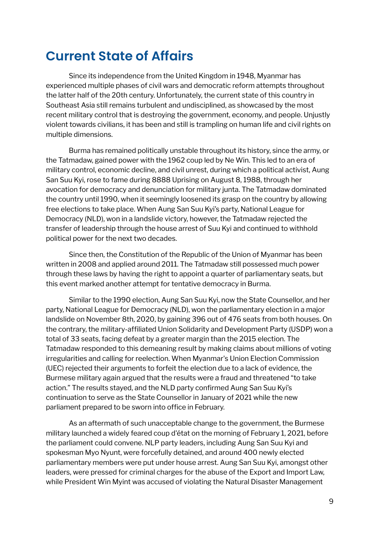### **Current State of Affairs**

Since its independence from the United Kingdom in 1948, Myanmar has experienced multiple phases of civil wars and democratic reform attempts throughout the latter half of the 20th century. Unfortunately, the current state of this country in Southeast Asia still remains turbulent and undisciplined, as showcased by the most recent military control that is destroying the government, economy, and people. Unjustly violent towards civilians, it has been and still is trampling on human life and civil rights on multiple dimensions.

Burma has remained politically unstable throughout its history, since the army, or the Tatmadaw, gained power with the 1962 coup led by Ne Win. This led to an era of military control, economic decline, and civil unrest, during which a political activist, Aung San Suu Kyi, rose to fame during 8888 Uprising on August 8, 1988, through her avocation for democracy and denunciation for military junta. The Tatmadaw dominated the country until 1990, when it seemingly loosened its grasp on the country by allowing free elections to take place. When Aung San Suu Kyi's party, National League for Democracy (NLD), won in a landslide victory, however, the Tatmadaw rejected the transfer of leadership through the house arrest of Suu Kyi and continued to withhold political power for the next two decades.

Since then, the Constitution of the Republic of the Union of Myanmar has been written in 2008 and applied around 2011. The Tatmadaw still possessed much power through these laws by having the right to appoint a quarter of parliamentary seats, but this event marked another attempt for tentative democracy in Burma.

Similar to the 1990 election, Aung San Suu Kyi, now the State Counsellor, and her party, National League for Democracy (NLD), won the parliamentary election in a major landslide on November 8th, 2020, by gaining 396 out of 476 seats from both houses. On the contrary, the military-affiliated Union Solidarity and Development Party (USDP) won a total of 33 seats, facing defeat by a greater margin than the 2015 election. The Tatmadaw responded to this demeaning result by making claims about millions of voting irregularities and calling for reelection. When Myanmar's Union Election Commission (UEC) rejected their arguments to forfeit the election due to a lack of evidence, the Burmese military again argued that the results were a fraud and threatened "to take action." The results stayed, and the NLD party confirmed Aung San Suu Kyi's continuation to serve as the State Counsellor in January of 2021 while the new parliament prepared to be sworn into office in February.

As an aftermath of such unacceptable change to the government, the Burmese military launched a widely feared coup d'état on the morning of February 1, 2021, before the parliament could convene. NLP party leaders, including Aung San Suu Kyi and spokesman Myo Nyunt, were forcefully detained, and around 400 newly elected parliamentary members were put under house arrest. Aung San Suu Kyi, amongst other leaders, were pressed for criminal charges for the abuse of the Export and Import Law, while President Win Myint was accused of violating the Natural Disaster Management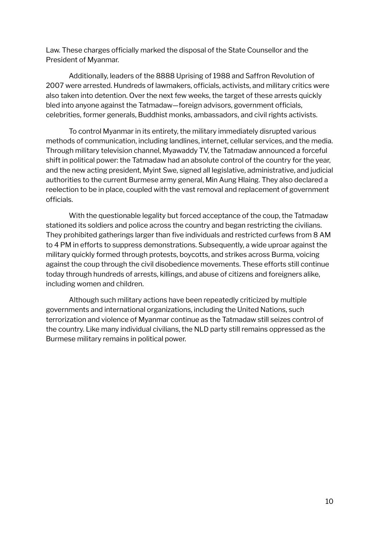Law. These charges officially marked the disposal of the State Counsellor and the President of Myanmar.

Additionally, leaders of the 8888 Uprising of 1988 and Saffron Revolution of 2007 were arrested. Hundreds of lawmakers, officials, activists, and military critics were also taken into detention. Over the next few weeks, the target of these arrests quickly bled into anyone against the Tatmadaw—foreign advisors, government officials, celebrities, former generals, Buddhist monks, ambassadors, and civil rights activists.

To control Myanmar in its entirety, the military immediately disrupted various methods of communication, including landlines, internet, cellular services, and the media. Through military television channel, Myawaddy TV, the Tatmadaw announced a forceful shift in political power: the Tatmadaw had an absolute control of the country for the year, and the new acting president, Myint Swe, signed all legislative, administrative, and judicial authorities to the current Burmese army general, Min Aung Hlaing. They also declared a reelection to be in place, coupled with the vast removal and replacement of government officials.

With the questionable legality but forced acceptance of the coup, the Tatmadaw stationed its soldiers and police across the country and began restricting the civilians. They prohibited gatherings larger than five individuals and restricted curfews from 8 AM to 4 PM in efforts to suppress demonstrations. Subsequently, a wide uproar against the military quickly formed through protests, boycotts, and strikes across Burma, voicing against the coup through the civil disobedience movements. These efforts still continue today through hundreds of arrests, killings, and abuse of citizens and foreigners alike, including women and children.

Although such military actions have been repeatedly criticized by multiple governments and international organizations, including the United Nations, such terrorization and violence of Myanmar continue as the Tatmadaw still seizes control of the country. Like many individual civilians, the NLD party still remains oppressed as the Burmese military remains in political power.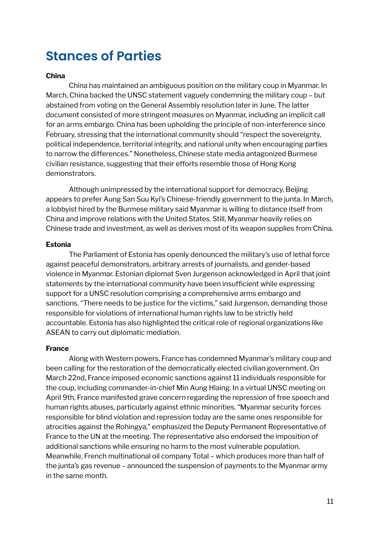### **Stances of Parties**

### **China**

China has maintained an ambiguous position on the military coup in Myanmar. In March, China backed the UNSC statement vaguely condemning the military coup – but abstained from voting on the General Assembly resolution later in June. The latter document consisted of more stringent measures on Myanmar, including an implicit call for an arms embargo. China has been upholding the principle of non-interference since February, stressing that the international community should "respect the sovereignty, political independence, territorial integrity, and national unity when encouraging parties to narrow the differences." Nonetheless, Chinese state media antagonized Burmese civilian resistance, suggesting that their efforts resemble those of Hong Kong demonstrators.

Although unimpressed by the international support for democracy, Beijing appears to prefer Aung San Suu Kyi's Chinese-friendly government to the junta. In March, a lobbyist hired by the Burmese military said Myanmar is willing to distance itself from China and improve relations with the United States. Still, Myanmar heavily relies on Chinese trade and investment, as well as derives most of its weapon supplies from China.

### **Estonia**

The Parliament of Estonia has openly denounced the military's use of lethal force against peaceful demonstrators, arbitrary arrests of journalists, and gender-based violence in Myanmar. Estonian diplomat Sven Jurgenson acknowledged in April that joint statements by the international community have been insufficient while expressing support for a UNSC resolution comprising a comprehensive arms embargo and sanctions. "There needs to be justice for the victims," said Jurgenson, demanding those responsible for violations of international human rights law to be strictly held accountable. Estonia has also highlighted the critical role of regional organizations like ASEAN to carry out diplomatic mediation.

### **France**

Along with Western powers, France has condemned Myanmar's military coup and been calling for the restoration of the democratically elected civilian government. On March 22nd, France imposed economic sanctions against 11 individuals responsible for the coup, including commander-in-chief Min Aung Hlaing. In a virtual UNSC meeting on April 9th, France manifested grave concern regarding the repression of free speech and human rights abuses, particularly against ethnic minorities. "Myanmar security forces responsible for blind violation and repression today are the same ones responsible for atrocities against the Rohingya," emphasized the Deputy Permanent Representative of France to the UN at the meeting. The representative also endorsed the imposition of additional sanctions while ensuring no harm to the most vulnerable population. Meanwhile, French multinational oil company Total – which produces more than half of the junta's gas revenue – announced the suspension of payments to the Myanmar army in the same month.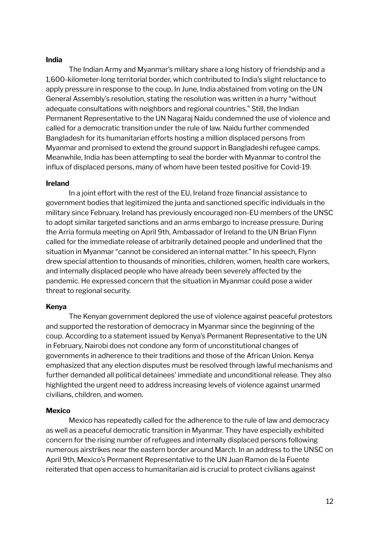#### **India**

The Indian Army and Myanmar's military share a long history of friendship and a 1,600-kilometer-long territorial border, which contributed to India's slight reluctance to apply pressure in response to the coup. In June, India abstained from voting on the UN General Assembly's resolution, stating the resolution was written in a hurry "without adequate consultations with neighbors and regional countries." Still, the Indian Permanent Representative to the UN Nagaraj Naidu condemned the use of violence and called for a democratic transition under the rule of law. Naidu further commended Bangladesh for its humanitarian efforts hosting a million displaced persons from Myanmar and promised to extend the ground support in Bangladeshi refugee camps. Meanwhile, India has been attempting to seal the border with Myanmar to control the influx of displaced persons, many of whom have been tested positive for Covid-19.

#### **Ireland**

In a joint effort with the rest of the EU, Ireland froze financial assistance to government bodies that legitimized the junta and sanctioned specific individuals in the military since February. Ireland has previously encouraged non-EU members of the UNSC to adopt similar targeted sanctions and an arms embargo to increase pressure. During the Arria formula meeting on April 9th, Ambassador of Ireland to the UN Brian Flynn called for the immediate release of arbitrarily detained people and underlined that the situation in Myanmar "cannot be considered an internal matter." In his speech, Flynn drew special attention to thousands of minorities, children, women, health care workers, and internally displaced people who have already been severely affected by the pandemic. He expressed concern that the situation in Myanmar could pose a wider threat to regional security.

#### **Kenya**

The Kenyan government deplored the use of violence against peaceful protestors and supported the restoration of democracy in Myanmar since the beginning of the coup. According to a statement issued by Kenya's Permanent Representative to the UN in February, Nairobi does not condone any form of unconstitutional changes of governments in adherence to their traditions and those of the African Union. Kenya emphasized that any election disputes must be resolved through lawful mechanisms and further demanded all political detainees' immediate and unconditional release. They also highlighted the urgent need to address increasing levels of violence against unarmed civilians, children, and women.

#### **Mexico**

Mexico has repeatedly called for the adherence to the rule of law and democracy as well as a peaceful democratic transition in Myanmar. They have especially exhibited concern for the rising number of refugees and internally displaced persons following numerous airstrikes near the eastern border around March. In an address to the UNSC on April 9th, Mexico's Permanent Representative to the UN Juan Ramon de la Fuente reiterated that open access to humanitarian aid is crucial to protect civilians against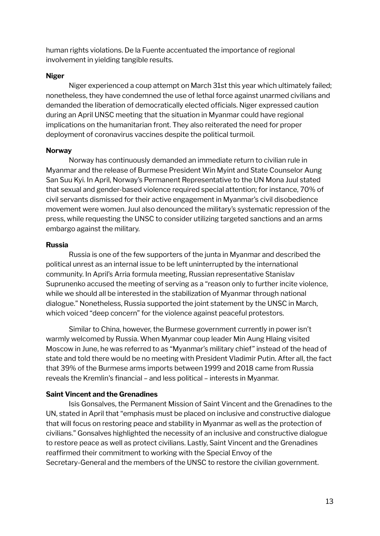human rights violations. De la Fuente accentuated the importance of regional involvement in yielding tangible results.

### **Niger**

Niger experienced a coup attempt on March 31st this year which ultimately failed; nonetheless, they have condemned the use of lethal force against unarmed civilians and demanded the liberation of democratically elected officials. Niger expressed caution during an April UNSC meeting that the situation in Myanmar could have regional implications on the humanitarian front. They also reiterated the need for proper deployment of coronavirus vaccines despite the political turmoil.

### **Norway**

Norway has continuously demanded an immediate return to civilian rule in Myanmar and the release of Burmese President Win Myint and State Counselor Aung San Suu Kyi. In April, Norway's Permanent Representative to the UN Mona Juul stated that sexual and gender-based violence required special attention; for instance, 70% of civil servants dismissed for their active engagement in Myanmar's civil disobedience movement were women. Juul also denounced the military's systematic repression of the press, while requesting the UNSC to consider utilizing targeted sanctions and an arms embargo against the military.

### **Russia**

Russia is one of the few supporters of the junta in Myanmar and described the political unrest as an internal issue to be left uninterrupted by the international community. In April's Arria formula meeting, Russian representative Stanislav Suprunenko accused the meeting of serving as a "reason only to further incite violence, while we should all be interested in the stabilization of Myanmar through national dialogue." Nonetheless, Russia supported the joint statement by the UNSC in March, which voiced "deep concern" for the violence against peaceful protestors.

Similar to China, however, the Burmese government currently in power isn't warmly welcomed by Russia. When Myanmar coup leader Min Aung Hlaing visited Moscow in June, he was referred to as "Myanmar's military chief" instead of the head of state and told there would be no meeting with President Vladimir Putin. After all, the fact that 39% of the Burmese arms imports between 1999 and 2018 came from Russia reveals the Kremlin's financial – and less political – interests in Myanmar.

### **Saint Vincent and the Grenadines**

Isis Gonsalves, the Permanent Mission of Saint Vincent and the Grenadines to the UN, stated in April that "emphasis must be placed on inclusive and constructive dialogue that will focus on restoring peace and stability in Myanmar as well as the protection of civilians." Gonsalves highlighted the necessity of an inclusive and constructive dialogue to restore peace as well as protect civilians. Lastly, Saint Vincent and the Grenadines reaffirmed their commitment to working with the Special Envoy of the Secretary-General and the members of the UNSC to restore the civilian government.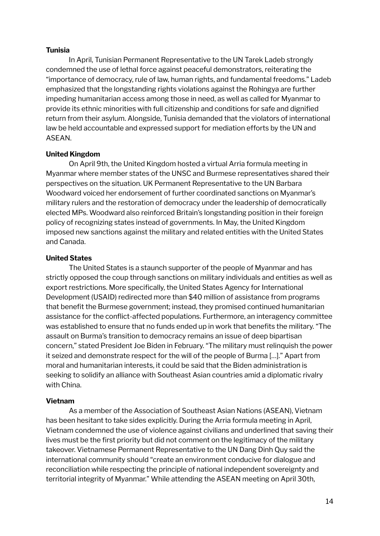### **Tunisia**

In April, Tunisian Permanent Representative to the UN Tarek Ladeb strongly condemned the use of lethal force against peaceful demonstrators, reiterating the "importance of democracy, rule of law, human rights, and fundamental freedoms." Ladeb emphasized that the longstanding rights violations against the Rohingya are further impeding humanitarian access among those in need, as well as called for Myanmar to provide its ethnic minorities with full citizenship and conditions for safe and dignified return from their asylum. Alongside, Tunisia demanded that the violators of international law be held accountable and expressed support for mediation efforts by the UN and ASEAN.

### **United Kingdom**

On April 9th, the United Kingdom hosted a virtual Arria formula meeting in Myanmar where member states of the UNSC and Burmese representatives shared their perspectives on the situation. UK Permanent Representative to the UN Barbara Woodward voiced her endorsement of further coordinated sanctions on Myanmar's military rulers and the restoration of democracy under the leadership of democratically elected MPs. Woodward also reinforced Britain's longstanding position in their foreign policy of recognizing states instead of governments. In May, the United Kingdom imposed new sanctions against the military and related entities with the United States and Canada.

### **United States**

The United States is a staunch supporter of the people of Myanmar and has strictly opposed the coup through sanctions on military individuals and entities as well as export restrictions. More specifically, the United States Agency for International Development (USAID) redirected more than \$40 million of assistance from programs that benefit the Burmese government; instead, they promised continued humanitarian assistance for the conflict-affected populations. Furthermore, an interagency committee was established to ensure that no funds ended up in work that benefits the military. "The assault on Burma's transition to democracy remains an issue of deep bipartisan concern," stated President Joe Biden in February. "The military must relinquish the power it seized and demonstrate respect for the will of the people of Burma […]." Apart from moral and humanitarian interests, it could be said that the Biden administration is seeking to solidify an alliance with Southeast Asian countries amid a diplomatic rivalry with China.

### **Vietnam**

As a member of the Association of Southeast Asian Nations (ASEAN), Vietnam has been hesitant to take sides explicitly. During the Arria formula meeting in April, Vietnam condemned the use of violence against civilians and underlined that saving their lives must be the first priority but did not comment on the legitimacy of the military takeover. Vietnamese Permanent Representative to the UN Dang Dinh Quy said the international community should "create an environment conducive for dialogue and reconciliation while respecting the principle of national independent sovereignty and territorial integrity of Myanmar." While attending the ASEAN meeting on April 30th,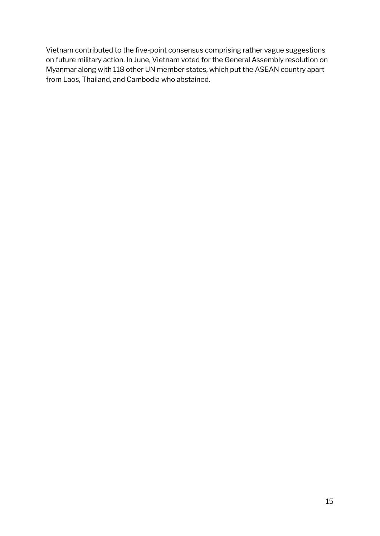Vietnam contributed to the five-point consensus comprising rather vague suggestions on future military action. In June, Vietnam voted for the General Assembly resolution on Myanmar along with 118 other UN member states, which put the ASEAN country apart from Laos, Thailand, and Cambodia who abstained.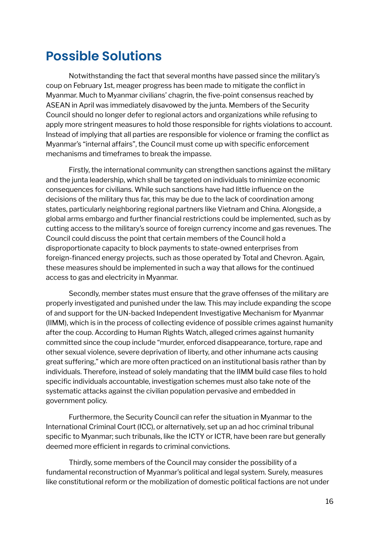## **Possible Solutions**

Notwithstanding the fact that several months have passed since the military's coup on February 1st, meager progress has been made to mitigate the conflict in Myanmar. Much to Myanmar civilians' chagrin, the five-point consensus reached by ASEAN in April was immediately disavowed by the junta. Members of the Security Council should no longer defer to regional actors and organizations while refusing to apply more stringent measures to hold those responsible for rights violations to account. Instead of implying that all parties are responsible for violence or framing the conflict as Myanmar's "internal affairs", the Council must come up with specific enforcement mechanisms and timeframes to break the impasse.

Firstly, the international community can strengthen sanctions against the military and the junta leadership, which shall be targeted on individuals to minimize economic consequences for civilians. While such sanctions have had little influence on the decisions of the military thus far, this may be due to the lack of coordination among states, particularly neighboring regional partners like Vietnam and China. Alongside, a global arms embargo and further financial restrictions could be implemented, such as by cutting access to the military's source of foreign currency income and gas revenues. The Council could discuss the point that certain members of the Council hold a disproportionate capacity to block payments to state-owned enterprises from foreign-financed energy projects, such as those operated by Total and Chevron. Again, these measures should be implemented in such a way that allows for the continued access to gas and electricity in Myanmar.

Secondly, member states must ensure that the grave offenses of the military are properly investigated and punished under the law. This may include expanding the scope of and support for the UN-backed Independent Investigative Mechanism for Myanmar (IIMM), which is in the process of collecting evidence of possible crimes against humanity after the coup. According to Human Rights Watch, alleged crimes against humanity committed since the coup include "murder, enforced disappearance, torture, rape and other sexual violence, severe deprivation of liberty, and other inhumane acts causing great suffering," which are more often practiced on an institutional basis rather than by individuals. Therefore, instead of solely mandating that the IIMM build case files to hold specific individuals accountable, investigation schemes must also take note of the systematic attacks against the civilian population pervasive and embedded in government policy.

Furthermore, the Security Council can refer the situation in Myanmar to the International Criminal Court (ICC), or alternatively, set up an ad hoc criminal tribunal specific to Myanmar; such tribunals, like the ICTY or ICTR, have been rare but generally deemed more efficient in regards to criminal convictions.

Thirdly, some members of the Council may consider the possibility of a fundamental reconstruction of Myanmar's political and legal system. Surely, measures like constitutional reform or the mobilization of domestic political factions are not under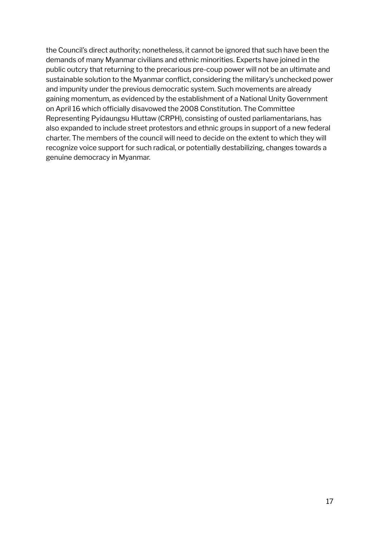the Council's direct authority; nonetheless, it cannot be ignored that such have been the demands of many Myanmar civilians and ethnic minorities. Experts have joined in the public outcry that returning to the precarious pre-coup power will not be an ultimate and sustainable solution to the Myanmar conflict, considering the military's unchecked power and impunity under the previous democratic system. Such movements are already gaining momentum, as evidenced by the establishment of a National Unity Government on April 16 which officially disavowed the 2008 Constitution. The Committee Representing Pyidaungsu Hluttaw (CRPH), consisting of ousted parliamentarians, has also expanded to include street protestors and ethnic groups in support of a new federal charter. The members of the council will need to decide on the extent to which they will recognize voice support for such radical, or potentially destabilizing, changes towards a genuine democracy in Myanmar.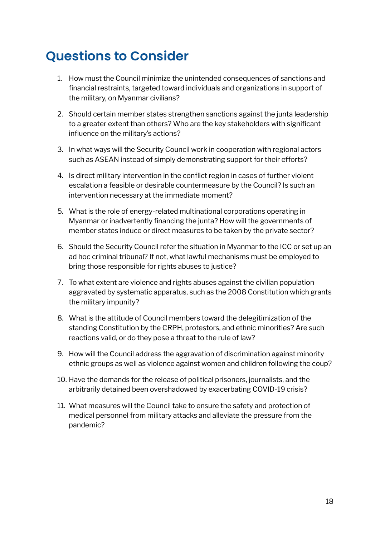# **Questions to Consider**

- 1. How must the Council minimize the unintended consequences of sanctions and financial restraints, targeted toward individuals and organizations in support of the military, on Myanmar civilians?
- 2. Should certain member states strengthen sanctions against the junta leadership to a greater extent than others? Who are the key stakeholders with significant influence on the military's actions?
- 3. In what ways will the Security Council work in cooperation with regional actors such as ASEAN instead of simply demonstrating support for their efforts?
- 4. Is direct military intervention in the conflict region in cases of further violent escalation a feasible or desirable countermeasure by the Council? Is such an intervention necessary at the immediate moment?
- 5. What is the role of energy-related multinational corporations operating in Myanmar or inadvertently financing the junta? How will the governments of member states induce or direct measures to be taken by the private sector?
- 6. Should the Security Council refer the situation in Myanmar to the ICC or set up an ad hoc criminal tribunal? If not, what lawful mechanisms must be employed to bring those responsible for rights abuses to justice?
- 7. To what extent are violence and rights abuses against the civilian population aggravated by systematic apparatus, such as the 2008 Constitution which grants the military impunity?
- 8. What is the attitude of Council members toward the delegitimization of the standing Constitution by the CRPH, protestors, and ethnic minorities? Are such reactions valid, or do they pose a threat to the rule of law?
- 9. How will the Council address the aggravation of discrimination against minority ethnic groups as well as violence against women and children following the coup?
- 10. Have the demands for the release of political prisoners, journalists, and the arbitrarily detained been overshadowed by exacerbating COVID-19 crisis?
- 11. What measures will the Council take to ensure the safety and protection of medical personnel from military attacks and alleviate the pressure from the pandemic?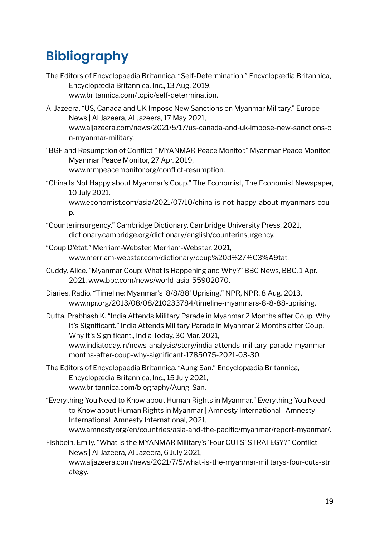# **Bibliography**

- The Editors of Encyclopaedia Britannica. "Self-Determination." Encyclopædia Britannica, Encyclopædia Britannica, Inc., 13 Aug. 2019, www.britannica.com/topic/self-determination.
- Al Jazeera. "US, Canada and UK Impose New Sanctions on Myanmar Military." Europe News | Al Jazeera, Al Jazeera, 17 May 2021, www.aljazeera.com/news/2021/5/17/us-canada-and-uk-impose-new-sanctions-o n-myanmar-military.
- "BGF and Resumption of Conflict " MYANMAR Peace Monitor." Myanmar Peace Monitor, Myanmar Peace Monitor, 27 Apr. 2019, www.mmpeacemonitor.org/conflict-resumption.
- "China Is Not Happy about Myanmar's Coup." The Economist, The Economist Newspaper, 10 July 2021,

www.economist.com/asia/2021/07/10/china-is-not-happy-about-myanmars-cou p.

- "Counterinsurgency." Cambridge Dictionary, Cambridge University Press, 2021, dictionary.cambridge.org/dictionary/english/counterinsurgency.
- "Coup D'état." Merriam-Webster, Merriam-Webster, 2021, www.merriam-webster.com/dictionary/coup%20d%27%C3%A9tat.
- Cuddy, Alice. "Myanmar Coup: What Is Happening and Why?" BBC News, BBC, 1 Apr. 2021, www.bbc.com/news/world-asia-55902070.
- Diaries, Radio. "Timeline: Myanmar's '8/8/88' Uprising." NPR, NPR, 8 Aug. 2013, www.npr.org/2013/08/08/210233784/timeline-myanmars-8-8-88-uprising.

Dutta, Prabhash K. "India Attends Military Parade in Myanmar 2 Months after Coup. Why It's Significant." India Attends Military Parade in Myanmar 2 Months after Coup. Why It's Significant., India Today, 30 Mar. 2021, www.indiatoday.in/news-analysis/story/india-attends-military-parade-myanmarmonths-after-coup-why-significant-1785075-2021-03-30.

- The Editors of Encyclopaedia Britannica. "Aung San." Encyclopædia Britannica, Encyclopædia Britannica, Inc., 15 July 2021, www.britannica.com/biography/Aung-San.
- "Everything You Need to Know about Human Rights in Myanmar." Everything You Need to Know about Human Rights in Myanmar | Amnesty International | Amnesty International, Amnesty International, 2021, www.amnesty.org/en/countries/asia-and-the-pacific/myanmar/report-myanmar/.

Fishbein, Emily. "What Is the MYANMAR Military's 'Four CUTS' STRATEGY?" Conflict News | Al Jazeera, Al Jazeera, 6 July 2021, www.aljazeera.com/news/2021/7/5/what-is-the-myanmar-militarys-four-cuts-str ategy.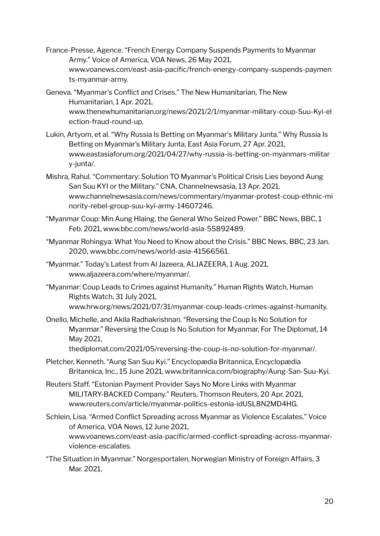- France-Presse, Agence. "French Energy Company Suspends Payments to Myanmar Army." Voice of America, VOA News, 26 May 2021, www.voanews.com/east-asia-pacific/french-energy-company-suspends-paymen ts-myanmar-army.
- Geneva. "Myanmar's Conflict and Crises." The New Humanitarian, The New Humanitarian, 1 Apr. 2021, www.thenewhumanitarian.org/news/2021/2/1/myanmar-military-coup-Suu-Kyi-el ection-fraud-round-up.
- Lukin, Artyom, et al. "Why Russia Is Betting on Myanmar's Military Junta." Why Russia Is Betting on Myanmar's Military Junta, East Asia Forum, 27 Apr. 2021, www.eastasiaforum.org/2021/04/27/why-russia-is-betting-on-myanmars-militar y-junta/.
- Mishra, Rahul. "Commentary: Solution TO Myanmar's Political Crisis Lies beyond Aung San Suu KYI or the Military." CNA, Channelnewsasia, 13 Apr. 2021, www.channelnewsasia.com/news/commentary/myanmar-protest-coup-ethnic-mi nority-rebel-group-suu-kyi-army-14607246.
- "Myanmar Coup: Min Aung Hlaing, the General Who Seized Power." BBC News, BBC, 1 Feb. 2021, www.bbc.com/news/world-asia-55892489.
- "Myanmar Rohingya: What You Need to Know about the Crisis." BBC News, BBC, 23 Jan. 2020, www.bbc.com/news/world-asia-41566561.
- "Myanmar." Today's Latest from Al Jazeera, ALJAZEERA, 1 Aug. 2021, www.aljazeera.com/where/myanmar/.
- "Myanmar: Coup Leads to Crimes against Humanity." Human Rights Watch, Human Rights Watch, 31 July 2021, www.hrw.org/news/2021/07/31/myanmar-coup-leads-crimes-against-humanity.
- Onello, Michelle, and Akila Radhakrishnan. "Reversing the Coup Is No Solution for Myanmar." Reversing the Coup Is No Solution for Myanmar, For The Diplomat, 14 May 2021,

thediplomat.com/2021/05/reversing-the-coup-is-no-solution-for-myanmar/.

- Pletcher, Kenneth. "Aung San Suu Kyi." Encyclopædia Britannica, Encyclopædia Britannica, Inc., 15 June 2021, www.britannica.com/biography/Aung-San-Suu-Kyi.
- Reuters Staff. "Estonian Payment Provider Says No More Links with Myanmar MILITARY-BACKED Company." Reuters, Thomson Reuters, 20 Apr. 2021, www.reuters.com/article/myanmar-politics-estonia-idUSL8N2MD4HG.
- Schlein, Lisa. "Armed Conflict Spreading across Myanmar as Violence Escalates." Voice of America, VOA News, 12 June 2021, www.voanews.com/east-asia-pacific/armed-conflict-spreading-across-myanmarviolence-escalates.
- "The Situation in Myanmar." Norgesportalen, Norwegian Ministry of Foreign Affairs, 3 Mar. 2021,